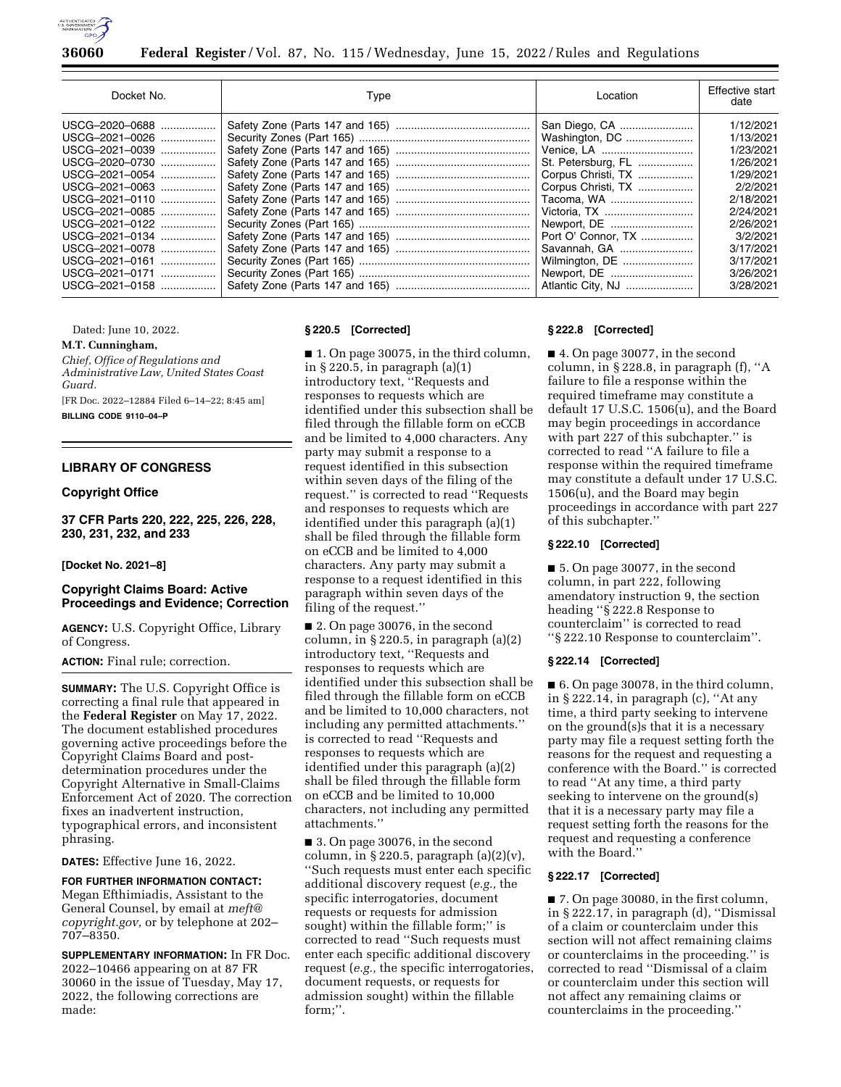

**36060 Federal Register** / Vol. 87, No. 115 / Wednesday, June 15, 2022 / Rules and Regulations

| Docket No.     | Type | Location           | Effective start<br>date |
|----------------|------|--------------------|-------------------------|
| USCG-2020-0688 |      | San Diego, CA      | 1/12/2021               |
| USCG-2021-0026 |      | Washington, DC     | 1/13/2021               |
| USCG-2021-0039 |      | Venice, LA         | 1/23/2021               |
| USCG-2020-0730 |      | St. Petersburg, FL | 1/26/2021               |
| USCG-2021-0054 |      | Corpus Christi, TX | 1/29/2021               |
| USCG-2021-0063 |      | Corpus Christi, TX | 2/2/2021                |
| USCG-2021-0110 |      | Tacoma, WA         | 2/18/2021               |
| USCG-2021-0085 |      | Victoria, TX       | 2/24/2021               |
| USCG-2021-0122 |      | Newport, DE        | 2/26/2021               |
| USCG-2021-0134 |      | Port O' Connor, TX | 3/2/2021                |
| USCG-2021-0078 |      | Savannah, GA       | 3/17/2021               |
| USCG-2021-0161 |      | Wilmington, DE     | 3/17/2021               |
| USCG-2021-0171 |      |                    | 3/26/2021               |
| USCG-2021-0158 |      | Atlantic City, NJ  | 3/28/2021               |

Dated: June 10, 2022.

## **M.T. Cunningham,**

*Chief, Office of Regulations and Administrative Law, United States Coast Guard.* 

[FR Doc. 2022–12884 Filed 6–14–22; 8:45 am]

**BILLING CODE 9110–04–P** 

# **LIBRARY OF CONGRESS**

## **Copyright Office**

**37 CFR Parts 220, 222, 225, 226, 228, 230, 231, 232, and 233** 

#### **[Docket No. 2021–8]**

## **Copyright Claims Board: Active Proceedings and Evidence; Correction**

**AGENCY:** U.S. Copyright Office, Library of Congress.

**ACTION:** Final rule; correction.

**SUMMARY:** The U.S. Copyright Office is correcting a final rule that appeared in the **Federal Register** on May 17, 2022. The document established procedures governing active proceedings before the Copyright Claims Board and postdetermination procedures under the Copyright Alternative in Small-Claims Enforcement Act of 2020. The correction fixes an inadvertent instruction, typographical errors, and inconsistent phrasing.

**DATES:** Effective June 16, 2022.

**FOR FURTHER INFORMATION CONTACT:**  Megan Efthimiadis, Assistant to the General Counsel, by email at *[meft@](mailto:meft@copyright.gov) [copyright.gov,](mailto:meft@copyright.gov)* or by telephone at 202– 707–8350.

**SUPPLEMENTARY INFORMATION:** In FR Doc. 2022–10466 appearing on at 87 FR 30060 in the issue of Tuesday, May 17, 2022, the following corrections are made:

#### **§ 220.5 [Corrected]**

■ 1. On page 30075, in the third column, in § 220.5, in paragraph (a)(1) introductory text, ''Requests and responses to requests which are identified under this subsection shall be filed through the fillable form on eCCB and be limited to 4,000 characters. Any party may submit a response to a request identified in this subsection within seven days of the filing of the request.'' is corrected to read ''Requests and responses to requests which are identified under this paragraph (a)(1) shall be filed through the fillable form on eCCB and be limited to 4,000 characters. Any party may submit a response to a request identified in this paragraph within seven days of the filing of the request.''

■ 2. On page 30076, in the second column, in § 220.5, in paragraph (a)(2) introductory text, ''Requests and responses to requests which are identified under this subsection shall be filed through the fillable form on eCCB and be limited to 10,000 characters, not including any permitted attachments.'' is corrected to read ''Requests and responses to requests which are identified under this paragraph (a)(2) shall be filed through the fillable form on eCCB and be limited to 10,000 characters, not including any permitted attachments.''

■ 3. On page 30076, in the second column, in  $\S 220.5$ , paragraph  $(a)(2)(v)$ , ''Such requests must enter each specific additional discovery request (*e.g.,* the specific interrogatories, document requests or requests for admission sought) within the fillable form;'' is corrected to read ''Such requests must enter each specific additional discovery request (*e.g.,* the specific interrogatories, document requests, or requests for admission sought) within the fillable form;''.

### **§ 222.8 [Corrected]**

■ 4. On page 30077, in the second column, in § 228.8, in paragraph (f), ''A failure to file a response within the required timeframe may constitute a default 17 U.S.C. 1506(u), and the Board may begin proceedings in accordance with part 227 of this subchapter.'' is corrected to read ''A failure to file a response within the required timeframe may constitute a default under 17 U.S.C. 1506(u), and the Board may begin proceedings in accordance with part 227 of this subchapter.''

## **§ 222.10 [Corrected]**

■ 5. On page 30077, in the second column, in part 222, following amendatory instruction 9, the section heading ''§ 222.8 Response to counterclaim'' is corrected to read ''§ 222.10 Response to counterclaim''.

## **§ 222.14 [Corrected]**

■ 6. On page 30078, in the third column, in  $\S 222.14$ , in paragraph (c), "At any time, a third party seeking to intervene on the ground(s)s that it is a necessary party may file a request setting forth the reasons for the request and requesting a conference with the Board.'' is corrected to read ''At any time, a third party seeking to intervene on the ground(s) that it is a necessary party may file a request setting forth the reasons for the request and requesting a conference with the Board.''

## **§ 222.17 [Corrected]**

■ 7. On page 30080, in the first column, in § 222.17, in paragraph (d), ''Dismissal of a claim or counterclaim under this section will not affect remaining claims or counterclaims in the proceeding.'' is corrected to read ''Dismissal of a claim or counterclaim under this section will not affect any remaining claims or counterclaims in the proceeding.''